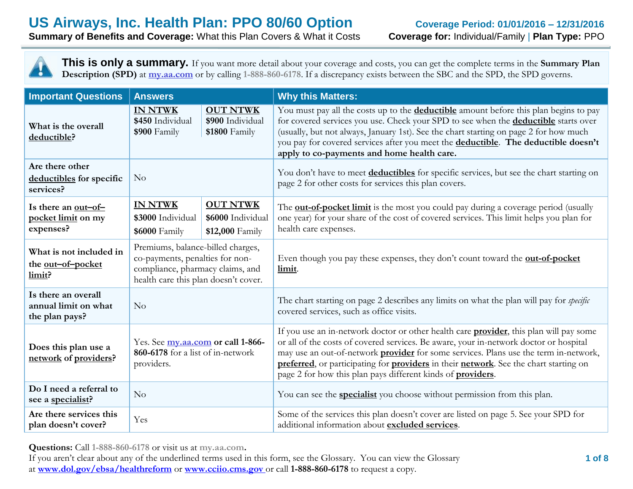**Summary of Benefits and Coverage:** What this Plan Covers & What it Costs **Coverage for:** Individual/Family | **Plan Type:** PPO

**This is only a summary.** If you want more detail about your coverage and costs, you can get the complete terms in the **Summary Plan Description (SPD)** at **my.aa.com** or by calling **1-888-860-6178**. If a discrepancy exists between the SBC and the SPD, the SPD governs.

| <b>Important Questions</b>                                    | <b>Answers</b>                                                                                                                                   |  | <b>Why this Matters:</b>                                                                                                                                                                                                                                                                                                                                                                                                                               |
|---------------------------------------------------------------|--------------------------------------------------------------------------------------------------------------------------------------------------|--|--------------------------------------------------------------------------------------------------------------------------------------------------------------------------------------------------------------------------------------------------------------------------------------------------------------------------------------------------------------------------------------------------------------------------------------------------------|
| What is the overall<br>deductible?                            | <b>IN NTWK</b><br><b>OUT NTWK</b><br>\$450 Individual<br>\$900 Individual<br>\$900 Family<br>\$1800 Family                                       |  | You must pay all the costs up to the <b>deductible</b> amount before this plan begins to pay<br>for covered services you use. Check your SPD to see when the <b>deductible</b> starts over<br>(usually, but not always, January 1st). See the chart starting on page 2 for how much<br>you pay for covered services after you meet the deductible. The deductible doesn't<br>apply to co-payments and home health care.                                |
| Are there other<br>deductibles for specific<br>services?      | N <sub>o</sub>                                                                                                                                   |  | You don't have to meet <b>deductibles</b> for specific services, but see the chart starting on<br>page 2 for other costs for services this plan covers.                                                                                                                                                                                                                                                                                                |
| Is there an <u>out-of-</u><br>pocket limit on my<br>expenses? | <b>OUT NTWK</b><br><b>IN NTWK</b><br>\$3000 Individual<br>\$6000 Individual<br>\$12,000 Family<br>\$6000 Family                                  |  | The <b>out-of-pocket limit</b> is the most you could pay during a coverage period (usually<br>one year) for your share of the cost of covered services. This limit helps you plan for<br>health care expenses.                                                                                                                                                                                                                                         |
| What is not included in<br>the out-of-pocket<br>limit?        | Premiums, balance-billed charges,<br>co-payments, penalties for non-<br>compliance, pharmacy claims, and<br>health care this plan doesn't cover. |  | Even though you pay these expenses, they don't count toward the <b>out-of-pocket</b><br>limit.                                                                                                                                                                                                                                                                                                                                                         |
| Is there an overall<br>annual limit on what<br>the plan pays? | N <sub>o</sub>                                                                                                                                   |  | The chart starting on page 2 describes any limits on what the plan will pay for specific<br>covered services, such as office visits.                                                                                                                                                                                                                                                                                                                   |
| Does this plan use a<br>network of providers?                 | Yes. See my.aa.com or call 1-866-<br>860-6178 for a list of in-network<br>providers.                                                             |  | If you use an in-network doctor or other health care <b>provider</b> , this plan will pay some<br>or all of the costs of covered services. Be aware, your in-network doctor or hospital<br>may use an out-of-network <b>provider</b> for some services. Plans use the term in-network,<br>preferred, or participating for providers in their network. See the chart starting on<br>page 2 for how this plan pays different kinds of <b>providers</b> . |
| Do I need a referral to<br>see a specialist?                  | No                                                                                                                                               |  | You can see the <b>specialist</b> you choose without permission from this plan.                                                                                                                                                                                                                                                                                                                                                                        |
| Are there services this<br>Yes<br>plan doesn't cover?         |                                                                                                                                                  |  | Some of the services this plan doesn't cover are listed on page 5. See your SPD for<br>additional information about excluded services.                                                                                                                                                                                                                                                                                                                 |

**Questions:** Call **1-888-860-6178** or visit us at **my.aa.com.**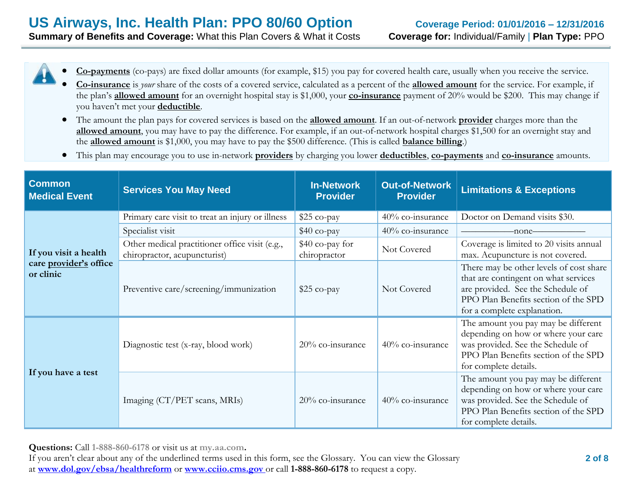- **Co-payments** (co-pays) are fixed dollar amounts (for example, \$15) you pay for covered health care, usually when you receive the service.
- **Co-insurance** is *your* share of the costs of a covered service, calculated as a percent of the **allowed amount** for the service. For example, if the plan's **allowed amount** for an overnight hospital stay is \$1,000, your **co-insurance** payment of 20% would be \$200. This may change if you haven't met your **deductible**.
- The amount the plan pays for covered services is based on the **allowed amount**. If an out-of-network **provider** charges more than the **allowed amount**, you may have to pay the difference. For example, if an out-of-network hospital charges \$1,500 for an overnight stay and the **allowed amount** is \$1,000, you may have to pay the \$500 difference. (This is called **balance billing**.)
- This plan may encourage you to use in-network **providers** by charging you lower **deductibles**, **co-payments** and **co-insurance** amounts.

| <b>Common</b><br><b>Medical Event</b> | <b>Services You May Need</b>                                                   |                                 | <b>Out-of-Network</b><br><b>Provider</b> | <b>Limitations &amp; Exceptions</b>                                                                                                                                                         |
|---------------------------------------|--------------------------------------------------------------------------------|---------------------------------|------------------------------------------|---------------------------------------------------------------------------------------------------------------------------------------------------------------------------------------------|
|                                       | Primary care visit to treat an injury or illness                               | $$25$ co-pay                    | 40% co-insurance                         | Doctor on Demand visits \$30.                                                                                                                                                               |
|                                       | Specialist visit                                                               | $$40$ co-pay                    | 40% co-insurance                         | -none-                                                                                                                                                                                      |
| If you visit a health                 | Other medical practitioner office visit (e.g.,<br>chiropractor, acupuncturist) | \$40 co-pay for<br>chiropractor | Not Covered                              | Coverage is limited to 20 visits annual<br>max. Acupuncture is not covered.                                                                                                                 |
| care provider's office<br>or clinic   | Preventive care/screening/immunization                                         | $$25$ co-pay                    | Not Covered                              | There may be other levels of cost share<br>that are contingent on what services<br>are provided. See the Schedule of<br>PPO Plan Benefits section of the SPD<br>for a complete explanation. |
|                                       | Diagnostic test (x-ray, blood work)                                            | 20% co-insurance                | 40% co-insurance                         | The amount you pay may be different<br>depending on how or where your care<br>was provided. See the Schedule of<br>PPO Plan Benefits section of the SPD<br>for complete details.            |
| If you have a test                    | Imaging (CT/PET scans, MRIs)                                                   | 20% co-insurance                | 40% co-insurance                         | The amount you pay may be different<br>depending on how or where your care<br>was provided. See the Schedule of<br>PPO Plan Benefits section of the SPD<br>for complete details.            |

**Questions:** Call **1-888-860-6178** or visit us at **my.aa.com.**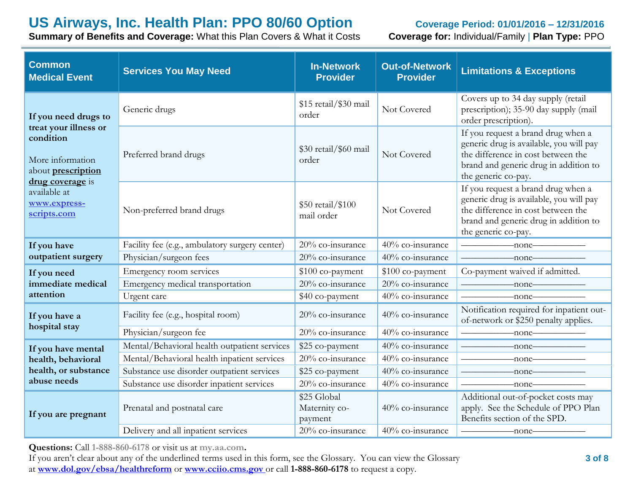**Summary of Benefits and Coverage:** What this Plan Covers & What it Costs **Coverage for:** Individual/Family | **Plan Type:** PPO

| <b>Common</b><br><b>Medical Event</b>                                                                   | <b>Services You May Need</b>                   | <b>In-Network</b><br><b>Provider</b>    | <b>Out-of-Network</b><br><b>Provider</b> | <b>Limitations &amp; Exceptions</b>                                                                                                                                                 |
|---------------------------------------------------------------------------------------------------------|------------------------------------------------|-----------------------------------------|------------------------------------------|-------------------------------------------------------------------------------------------------------------------------------------------------------------------------------------|
| If you need drugs to                                                                                    | Generic drugs                                  | \$15 retail/\$30 mail<br>order          | Not Covered                              | Covers up to 34 day supply (retail<br>prescription); 35-90 day supply (mail<br>order prescription).                                                                                 |
| treat your illness or<br>condition<br>More information<br>about <b>prescription</b><br>drug coverage is | Preferred brand drugs                          | \$30 retail/\$60 mail<br>order          | Not Covered                              | If you request a brand drug when a<br>generic drug is available, you will pay<br>the difference in cost between the<br>brand and generic drug in addition to<br>the generic co-pay. |
| available at<br>www.express-<br>scripts.com                                                             | Non-preferred brand drugs                      | \$50 retail/\$100<br>mail order         | Not Covered                              | If you request a brand drug when a<br>generic drug is available, you will pay<br>the difference in cost between the<br>brand and generic drug in addition to<br>the generic co-pay. |
| If you have                                                                                             | Facility fee (e.g., ambulatory surgery center) | 20% co-insurance                        | 40% co-insurance                         | $\overline{\phantom{a}}$ none                                                                                                                                                       |
| outpatient surgery                                                                                      | Physician/surgeon fees                         | 20% co-insurance                        | 40% co-insurance                         | $\overline{\phantom{a}}$ none                                                                                                                                                       |
| If you need                                                                                             | Emergency room services                        | \$100 co-payment                        | \$100 co-payment                         | Co-payment waived if admitted.                                                                                                                                                      |
| immediate medical                                                                                       | Emergency medical transportation               | 20% co-insurance                        | 20% co-insurance                         | $-none$                                                                                                                                                                             |
| attention                                                                                               | Urgent care                                    | \$40 co-payment                         | 40% co-insurance                         | $\longrightarrow$ none                                                                                                                                                              |
| If you have a                                                                                           | Facility fee (e.g., hospital room)             | 20% co-insurance                        | 40% co-insurance                         | Notification required for inpatient out-<br>of-network or \$250 penalty applies.                                                                                                    |
| hospital stay                                                                                           | Physician/surgeon fee                          | 20% co-insurance                        | 40% co-insurance                         | $-none$ ——                                                                                                                                                                          |
| If you have mental                                                                                      | Mental/Behavioral health outpatient services   | \$25 co-payment                         | 40% co-insurance                         | $\overline{\phantom{}}$ none                                                                                                                                                        |
| health, behavioral                                                                                      | Mental/Behavioral health inpatient services    | 20% co-insurance                        | 40% co-insurance                         | $-none$ ——                                                                                                                                                                          |
| health, or substance                                                                                    | Substance use disorder outpatient services     | \$25 co-payment                         | 40% co-insurance                         | $-none$                                                                                                                                                                             |
| abuse needs                                                                                             | Substance use disorder inpatient services      | 20% co-insurance                        | 40% co-insurance                         |                                                                                                                                                                                     |
| If you are pregnant                                                                                     | Prenatal and postnatal care                    | \$25 Global<br>Maternity co-<br>payment | 40% co-insurance                         | Additional out-of-pocket costs may<br>apply. See the Schedule of PPO Plan<br>Benefits section of the SPD.                                                                           |
|                                                                                                         | Delivery and all inpatient services            | 20% co-insurance                        | 40% co-insurance                         | —none—                                                                                                                                                                              |

**Questions:** Call **1-888-860-6178** or visit us at **my.aa.com.**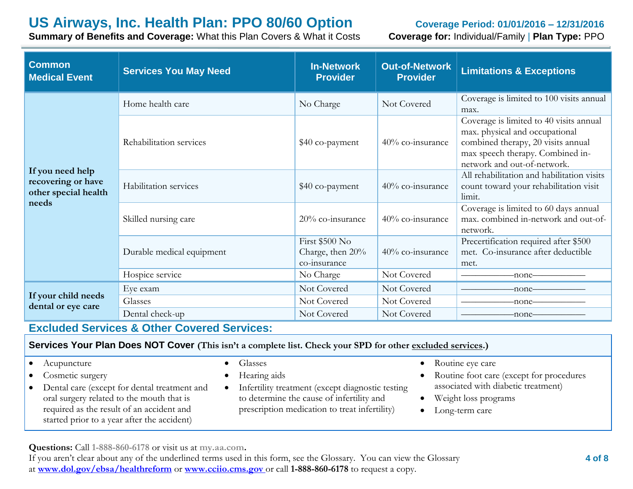**Summary of Benefits and Coverage:** What this Plan Covers & What it Costs **Coverage for:** Individual/Family | **Plan Type:** PPO

| <b>Common</b><br><b>Medical Event</b>                                   | <b>Services You May Need</b> | <b>In-Network</b><br><b>Provider</b>               | <b>Out-of-Network</b><br><b>Provider</b> | <b>Limitations &amp; Exceptions</b>                                                                                                                                                |
|-------------------------------------------------------------------------|------------------------------|----------------------------------------------------|------------------------------------------|------------------------------------------------------------------------------------------------------------------------------------------------------------------------------------|
|                                                                         | Home health care             | No Charge                                          | Not Covered                              | Coverage is limited to 100 visits annual<br>max.                                                                                                                                   |
|                                                                         | Rehabilitation services      | \$40 co-payment                                    | 40% co-insurance                         | Coverage is limited to 40 visits annual<br>max. physical and occupational<br>combined therapy, 20 visits annual<br>max speech therapy. Combined in-<br>network and out-of-network. |
| If you need help<br>recovering or have<br>other special health<br>needs | Habilitation services        | \$40 co-payment                                    | 40% co-insurance                         | All rehabilitation and habilitation visits<br>count toward your rehabilitation visit<br>limit.                                                                                     |
|                                                                         | Skilled nursing care         | 20% co-insurance                                   | 40% co-insurance                         | Coverage is limited to 60 days annual<br>max. combined in-network and out-of-<br>network.                                                                                          |
|                                                                         | Durable medical equipment    | First \$500 No<br>Charge, then 20%<br>co-insurance | 40% co-insurance                         | Precertification required after \$500<br>met. Co-insurance after deductible<br>met.                                                                                                |
|                                                                         | Hospice service              | No Charge                                          | Not Covered                              | -none-                                                                                                                                                                             |
|                                                                         | Eye exam                     | Not Covered                                        | Not Covered                              | -none-                                                                                                                                                                             |
| If your child needs<br>dental or eye care                               | Glasses                      | Not Covered                                        | Not Covered                              | -none-                                                                                                                                                                             |
|                                                                         | Dental check-up              | Not Covered                                        | Not Covered                              | -none-                                                                                                                                                                             |

# **Excluded Services & Other Covered Services:**

#### **Services Your Plan Does NOT Cover (This isn't a complete list. Check your SPD for other excluded services.)**

#### • Acupuncture

- Cosmetic surgery
- Dental care (except for dental treatment and oral surgery related to the mouth that is required as the result of an accident and started prior to a year after the accident)
- **•** Glasses
- Hearing aids
- Infertility treatment (except diagnostic testing to determine the cause of infertility and prescription medication to treat infertility)
- Routine eye care
- Routine foot care (except for procedures associated with diabetic treatment)
- Weight loss programs
- Long-term care

**Questions:** Call **1-888-860-6178** or visit us at **my.aa.com.**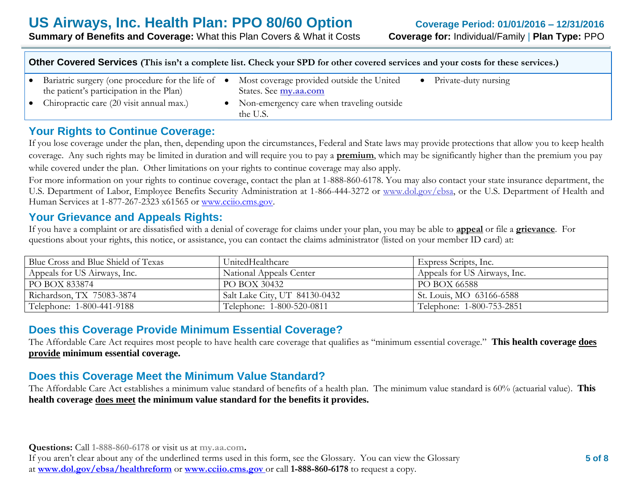| Other Covered Services (This isn't a complete list. Check your SPD for other covered services and your costs for these services.) |  |                                                                    |  |                        |
|-----------------------------------------------------------------------------------------------------------------------------------|--|--------------------------------------------------------------------|--|------------------------|
| • Bariatric surgery (one procedure for the life of $\bullet$<br>the patient's participation in the Plan)                          |  | Most coverage provided outside the United<br>States. See my.aa.com |  | • Private-duty nursing |
| • Chiropractic care $(20 \text{ visit annual max.})$                                                                              |  | • Non-emergency care when traveling outside<br>the U.S.            |  |                        |

## **Your Rights to Continue Coverage:**

If you lose coverage under the plan, then, depending upon the circumstances, Federal and State laws may provide protections that allow you to keep health coverage. Any such rights may be limited in duration and will require you to pay a **premium**, which may be significantly higher than the premium you pay while covered under the plan. Other limitations on your rights to continue coverage may also apply.

For more information on your rights to continue coverage, contact the plan at 1-888-860-6178. You may also contact your state insurance department, the U.S. Department of Labor, Employee Benefits Security Administration at 1-866-444-3272 or www.dol.gov/ebsa, or the U.S. Department of Health and Human Services at 1-877-267-2323 x61565 or [www.cciio.cms.gov.](http://www.cciio.cms.gov/)

## **Your Grievance and Appeals Rights:**

If you have a complaint or are dissatisfied with a denial of coverage for claims under your plan, you may be able to **appeal** or file a **grievance**. For questions about your rights, this notice, or assistance, you can contact the claims administrator (listed on your member ID card) at:

| Blue Cross and Blue Shield of Texas | UnitedHealthcare              | <b>Express Scripts</b> , Inc. |
|-------------------------------------|-------------------------------|-------------------------------|
| Appeals for US Airways, Inc.        | National Appeals Center       | Appeals for US Airways, Inc.  |
| PO BOX 833874                       | PO BOX 30432                  | PO BOX 66588                  |
| Richardson, TX 75083-3874           | Salt Lake City, UT 84130-0432 | St. Louis, MO 63166-6588      |
| Telephone: 1-800-441-9188           | Telephone: 1-800-520-0811     | Telephone: 1-800-753-2851     |

# **Does this Coverage Provide Minimum Essential Coverage?**

The Affordable Care Act requires most people to have health care coverage that qualifies as "minimum essential coverage." **This health coverage does provide minimum essential coverage.**

# **Does this Coverage Meet the Minimum Value Standard?**

The Affordable Care Act establishes a minimum value standard of benefits of a health plan. The minimum value standard is 60% (actuarial value). **This health coverage does meet the minimum value standard for the benefits it provides.**

**Questions:** Call **1-888-860-6178** or visit us at **my.aa.com.** If you aren't clear about any of the underlined terms used in this form, see the Glossary. You can view the Glossary at **www.dol.gov/ebsa/healthreform** or **www.cciio.cms.gov** or call **1-888-860-6178** to request a copy.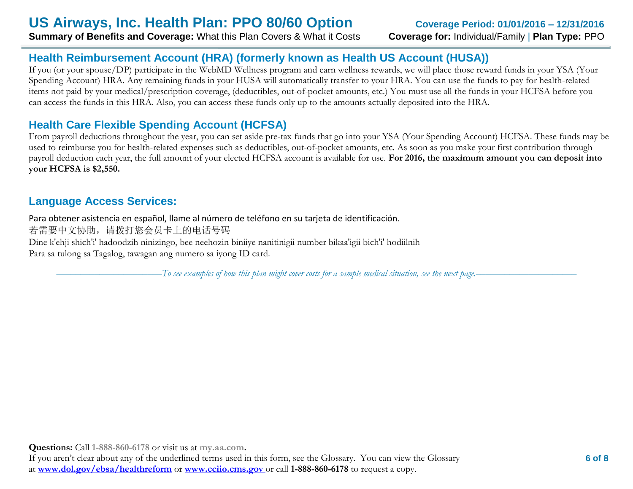# **Health Reimbursement Account (HRA) (formerly known as Health US Account (HUSA))**

If you (or your spouse/DP) participate in the WebMD Wellness program and earn wellness rewards, we will place those reward funds in your YSA (Your Spending Account) HRA. Any remaining funds in your HUSA will automatically transfer to your HRA. You can use the funds to pay for health-related items not paid by your medical/prescription coverage, (deductibles, out-of-pocket amounts, etc.) You must use all the funds in your HCFSA before you can access the funds in this HRA. Also, you can access these funds only up to the amounts actually deposited into the HRA.

# **Health Care Flexible Spending Account (HCFSA)**

From payroll deductions throughout the year, you can set aside pre-tax funds that go into your YSA (Your Spending Account) HCFSA. These funds may be used to reimburse you for health-related expenses such as deductibles, out-of-pocket amounts, etc. As soon as you make your first contribution through payroll deduction each year, the full amount of your elected HCFSA account is available for use. **For 2016, the maximum amount you can deposit into your HCFSA is \$2,550.** 

# **Language Access Services:**

Para obtener asistencia en español, llame al número de teléfono en su tarjeta de identificación. 若需要中文协助,请拨打您会员卡上的电话号码 Dine k'ehji shich'i' hadoodzih ninizingo, bee neehozin biniiye nanitinigii number bikaa'igii bich'i' hodiilnih Para sa tulong sa Tagalog, tawagan ang numero sa iyong ID card.

––––––––––––––––––––––*To see examples of how this plan might cover costs for a sample medical situation, see the next page.–––––––––––*––––––––––

**Questions:** Call **1-888-860-6178** or visit us at **my.aa.com.**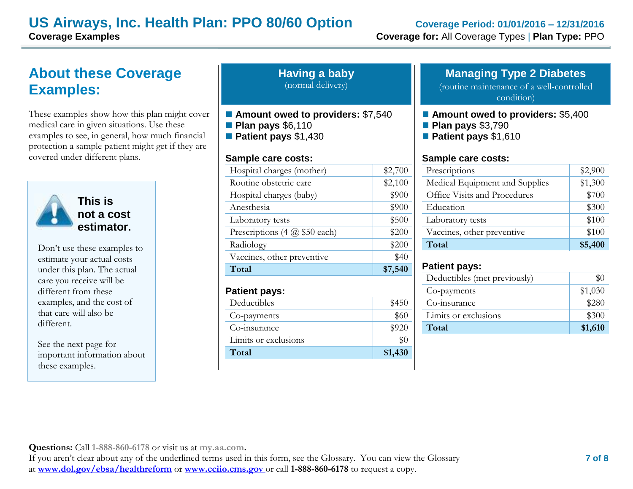# **About these Coverage Examples:**

These examples show how this plan might cover medical care in given situations. Use these examples to see, in general, how much financial protection a sample patient might get if they are covered under different plans.



**This is not a cost estimator.** 

Don't use these examples to estimate your actual costs under this plan. The actual care you receive will be different from these examples, and the cost of that care will also be different.

See the next page for important information about these examples.

| <b>Having a baby</b> |  |
|----------------------|--|
| (normal delivery)    |  |

- Amount owed to providers: \$7,540
- **Plan pays** \$6,110
- **Patient pays** \$1,430

#### **Sample care costs:**

| Total                               | \$7,540 |
|-------------------------------------|---------|
| Vaccines, other preventive          | \$40    |
| Radiology                           | \$200   |
| Prescriptions $(4 \omega $50$ each) | \$200   |
| Laboratory tests                    | \$500   |
| Anesthesia                          | \$900   |
| Hospital charges (baby)             | \$900   |
| Routine obstetric care              | \$2,100 |
| Hospital charges (mother)           | \$2,700 |
|                                     |         |

#### **Patient pays:**

| Deductibles          | \$450   |
|----------------------|---------|
| Co-payments          | \$60    |
| Co-insurance         | \$920   |
| Limits or exclusions |         |
| Total                | \$1,430 |

## **Managing Type 2 Diabetes**

(routine maintenance of a well-controlled condition)

- **Amount owed to providers: \$5,400**
- **Plan pays** \$3,790
- **Patient pays** \$1,610

#### **Sample care costs:**

| Prescriptions                  | \$2,900 |
|--------------------------------|---------|
| Medical Equipment and Supplies | \$1,300 |
| Office Visits and Procedures   | \$700   |
| Education                      | \$300   |
| Laboratory tests               | \$100   |
| Vaccines, other preventive     | \$100   |
| Total                          | \$5,400 |

#### **Patient pays:**

| Deductibles (met previously) |         |
|------------------------------|---------|
| Co-payments                  | \$1,030 |
| Co-insurance                 | \$280   |
| Limits or exclusions         | \$300   |
| Total                        | \$1,610 |

**Questions:** Call **1-888-860-6178** or visit us at **my.aa.com.**